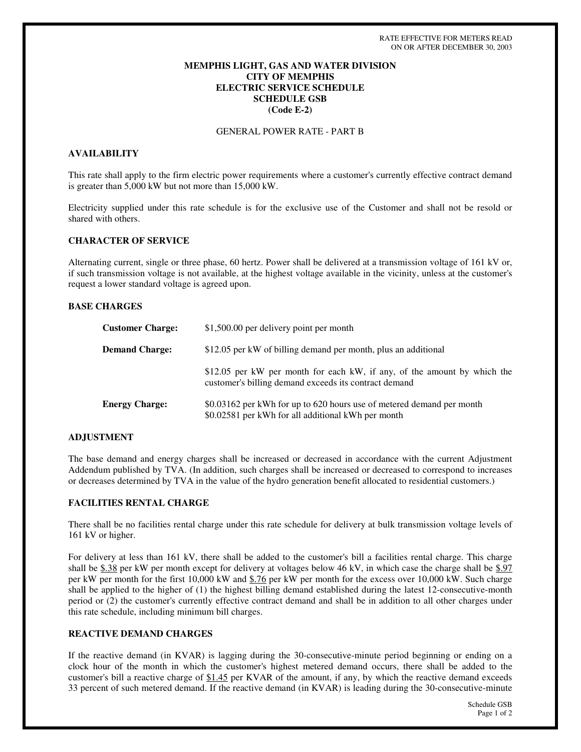## **MEMPHIS LIGHT, GAS AND WATER DIVISION CITY OF MEMPHIS ELECTRIC SERVICE SCHEDULE SCHEDULE GSB (Code E-2)**

GENERAL POWER RATE - PART B

### **AVAILABILITY**

This rate shall apply to the firm electric power requirements where a customer's currently effective contract demand is greater than 5,000 kW but not more than 15,000 kW.

Electricity supplied under this rate schedule is for the exclusive use of the Customer and shall not be resold or shared with others.

### **CHARACTER OF SERVICE**

Alternating current, single or three phase, 60 hertz. Power shall be delivered at a transmission voltage of 161 kV or, if such transmission voltage is not available, at the highest voltage available in the vicinity, unless at the customer's request a lower standard voltage is agreed upon.

#### **BASE CHARGES**

| <b>Customer Charge:</b> | \$1,500.00 per delivery point per month                                                                                           |
|-------------------------|-----------------------------------------------------------------------------------------------------------------------------------|
| <b>Demand Charge:</b>   | \$12.05 per kW of billing demand per month, plus an additional                                                                    |
|                         | \$12.05 per kW per month for each kW, if any, of the amount by which the<br>customer's billing demand exceeds its contract demand |
| <b>Energy Charge:</b>   | \$0.03162 per kWh for up to 620 hours use of metered demand per month<br>\$0.02581 per kWh for all additional kWh per month       |

### **ADJUSTMENT**

The base demand and energy charges shall be increased or decreased in accordance with the current Adjustment Addendum published by TVA. (In addition, such charges shall be increased or decreased to correspond to increases or decreases determined by TVA in the value of the hydro generation benefit allocated to residential customers.)

## **FACILITIES RENTAL CHARGE**

There shall be no facilities rental charge under this rate schedule for delivery at bulk transmission voltage levels of 161 kV or higher.

For delivery at less than 161 kV, there shall be added to the customer's bill a facilities rental charge. This charge shall be  $$.38$  per kW per month except for delivery at voltages below 46 kV, in which case the charge shall be  $$.97$ per kW per month for the first 10,000 kW and \$.76 per kW per month for the excess over 10,000 kW. Such charge shall be applied to the higher of (1) the highest billing demand established during the latest 12-consecutive-month period or (2) the customer's currently effective contract demand and shall be in addition to all other charges under this rate schedule, including minimum bill charges.

## **REACTIVE DEMAND CHARGES**

If the reactive demand (in KVAR) is lagging during the 30-consecutive-minute period beginning or ending on a clock hour of the month in which the customer's highest metered demand occurs, there shall be added to the customer's bill a reactive charge of \$1.45 per KVAR of the amount, if any, by which the reactive demand exceeds 33 percent of such metered demand. If the reactive demand (in KVAR) is leading during the 30-consecutive-minute